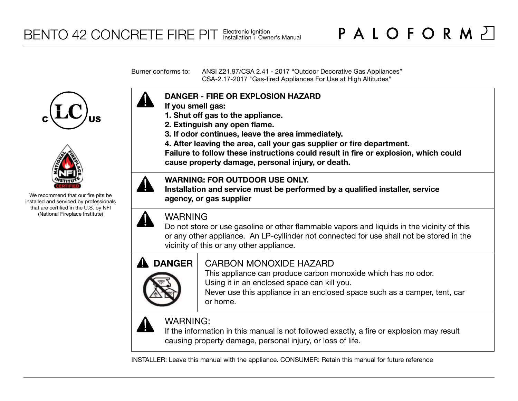Burner conforms to: ANSI Z21.97/CSA 2.41 - 2017 "Outdoor Decorative Gas Appliances" CSA-2.17-2017 "Gas-fired Appliances For Use at High Altitudes"





We recommend that our fire pits be installed and serviced by professionals that are certified in the U.S. by NFI (National Fireplace Institute)



- **If you smell gas:**
- **1. Shut off gas to the appliance.**
- **2. Extinguish any open flame.**
- **3. If odor continues, leave the area immediately.**
- **4. After leaving the area, call your gas supplier or fire department.**

**Failure to follow these instructions could result in fire or explosion, which could cause property damage, personal injury, or death.**

# **WARNING: FOR OUTDOOR USE ONLY.**

**Installation and service must be performed by a qualified installer, service agency, or gas supplier**



# WARNING

Do not store or use gasoline or other flammable vapors and liquids in the vicinity of this or any other appliance. An LP-cyllinder not connected for use shall not be stored in the vicinity of this or any other appliance.



# CARBON MONOXIDE HAZARD

This appliance can produce carbon monoxide which has no odor. Using it in an enclosed space can kill you.

Never use this appliance in an enclosed space such as a camper, tent, car or home.



# WARNING:

If the information in this manual is not followed exactly, a fire or explosion may result causing property damage, personal injury, or loss of life.

INSTALLER: Leave this manual with the appliance. CONSUMER: Retain this manual for future reference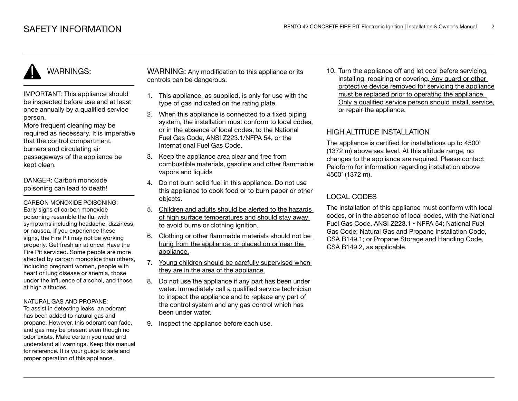IMPORTANT: This appliance should be inspected before use and at least once annually by a qualified service person.

More frequent cleaning may be required as necessary. It is imperative that the control compartment, burners and circulating air passageways of the appliance be kept clean.

DANGER: Carbon monoxide poisoning can lead to death!

CARBON MONOXIDE POISONING: Early signs of carbon monoxide poisoning resemble the flu, with symptoms including headache, dizziness, or nausea. If you experience these signs, the Fire Pit may not be working properly. Get fresh air at once! Have the Fire Pit serviced. Some people are more affected by carbon monoxide than others, including pregnant women, people with heart or lung disease or anemia, those under the influence of alcohol, and those at high altitudes.

#### NATURAL GAS AND PROPANE:

To assist in detecting leaks, an odorant has been added to natural gas and propane. However, this odorant can fade, and gas may be present even though no odor exists. Make certain you read and understand all warnings. Keep this manual for reference. It is your guide to safe and proper operation of this appliance.

WARNING: Any modification to this appliance or its controls can be dangerous.

- 1. This appliance, as supplied, is only for use with the type of gas indicated on the rating plate.
- 2. When this appliance is connected to a fixed piping system, the installation must conform to local codes. or in the absence of local codes, to the National Fuel Gas Code, ANSI Z223.1/NFPA 54, or the International Fuel Gas Code.
- 3. Keep the appliance area clear and free from combustible materials, gasoline and other flammable vapors and liquids
- 4. Do not burn solid fuel in this appliance. Do not use this appliance to cook food or to burn paper or other objects.
- 5. Children and adults should be alerted to the hazards of high surface temperatures and should stay away to avoid burns or clothing ignition.
- 6. Clothing or other flammable materials should not be hung from the appliance, or placed on or near the appliance.
- 7. Young children should be carefully supervised when they are in the area of the appliance.
- 8. Do not use the appliance if any part has been under water. Immediately call a qualified service technician to inspect the appliance and to replace any part of the control system and any gas control which has been under water.
- 9. Inspect the appliance before each use.

10. Turn the appliance off and let cool before servicing, installing, repairing or covering. Any guard or other protective device removed for servicing the appliance must be replaced prior to operating the appliance. Only a qualified service person should install, service, or repair the appliance.

# HIGH ALTITUDE INSTALLATION

The appliance is certified for installations up to 4500' (1372 m) above sea level. At this altitude range, no changes to the appliance are required. Please contact Paloform for information regarding installation above 4500' (1372 m).

# LOCAL CODES

The installation of this appliance must conform with local codes, or in the absence of local codes, with the National Fuel Gas Code, ANSI Z223.1 • NFPA 54; National Fuel Gas Code; Natural Gas and Propane Installation Code, CSA B149.1; or Propane Storage and Handling Code, CSA B149.2, as applicable.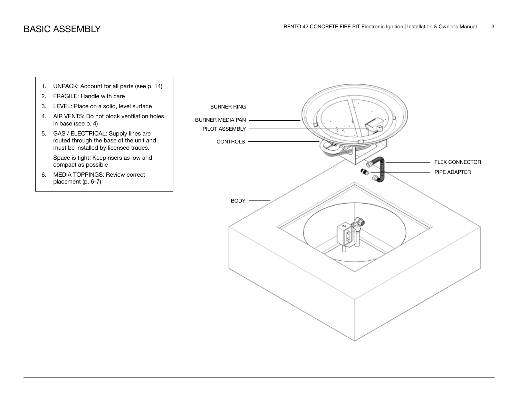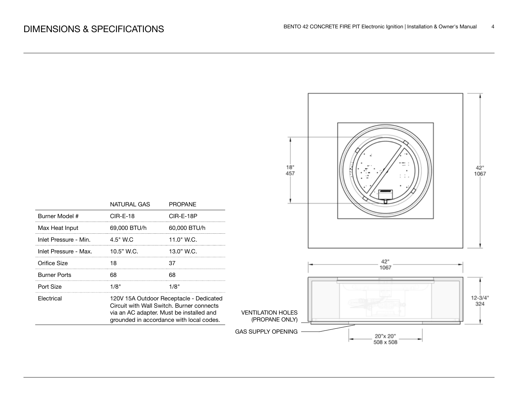

|                       | NATURAL GAS                                                                                                                                                                  | <b>PROPANE</b> |  |
|-----------------------|------------------------------------------------------------------------------------------------------------------------------------------------------------------------------|----------------|--|
| Burner Model #        | $CIR-F-18$                                                                                                                                                                   | CIR-E-18P      |  |
| Max Heat Input        | 69,000 BTU/h                                                                                                                                                                 | 60,000 BTU/h   |  |
| Inlet Pressure - Min. | $4.5"$ W.C                                                                                                                                                                   | 11.0" W.C.     |  |
| Inlet Pressure - Max. | 10.5" W.C.                                                                                                                                                                   | 13.0" W.C.     |  |
| Orifice Size          | 18                                                                                                                                                                           | 37             |  |
| Burner Ports          | 68                                                                                                                                                                           | 68             |  |
| Port Size             | 1/8"                                                                                                                                                                         | 1/8"           |  |
| Electrical            | 120V 15A Outdoor Receptacle - Dedicated<br>Circuit with Wall Switch, Burner connects<br>via an AC adapter. Must be installed and<br>grounded in accordance with local codes. |                |  |
|                       |                                                                                                                                                                              |                |  |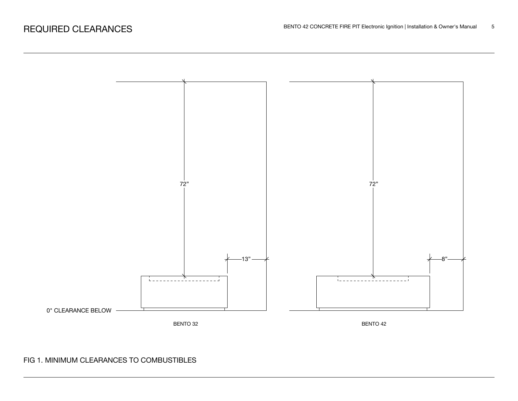

# FIG 1. MINIMUM CLEARANCES TO COMBUSTIBLES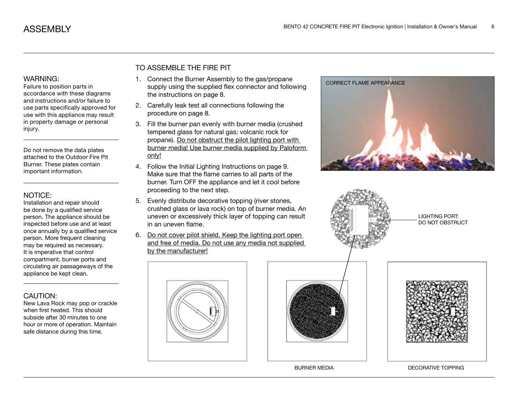Failure to position parts in accordance with these diagrams and instructions and/or failure to use parts specifically approved for use with this appliance may result in property damage or personal injury.

Do not remove the data plates attached to the Outdoor Fire Pit Burner. These plates contain important information.

### NOTICE:

Installation and repair should be done by a qualified service person. The appliance should be inspected before use and at least once annually by a qualified service person. More frequent cleaning may be required as necessary. It is imperative that control compartment, burner ports and circulating air passageways of the appliance be kept clean.

# CAUTION:

New Lava Rock may pop or crackle when first heated. This should subside after 30 minutes to one hour or more of operation. Maintain safe distance during this time.

# TO ASSEMBLE THE FIRE PIT

- 1. Connect the Burner Assembly to the gas/propane supply using the supplied flex connector and following the instructions on page 8.
- 2. Carefully leak test all connections following the procedure on page 8.
- 3. Fill the burner pan evenly with burner media (crushed tempered glass for natural gas; volcanic rock for propane). Do not obstruct the pilot lighting port with burner media! Use burner media supplied by Paloform only!
- 4. Follow the Initial Lighting Instructions on page 9. Make sure that the flame carries to all parts of the burner. Turn OFF the appliance and let it cool before proceeding to the next step.
- 5. Evenly distribute decorative topping (river stones, crushed glass or lava rock) on top of burner media. An uneven or excessively thick layer of topping can result in an uneven flame.
- 6. Do not cover pilot shield. Keep the lighting port open and free of media. Do not use any media not supplied by the manufacturer!





BURNER MEDIA DECORATIVE TOPPING





LIGHTING PORT: DO NOT OBSTRUCT

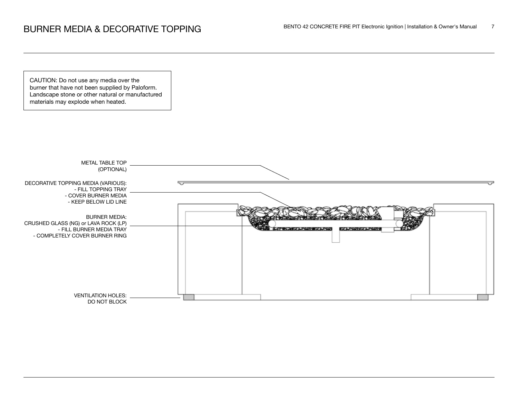CAUTION: Do not use any media over the burner that have not been supplied by Paloform. Landscape stone or other natural or manufactured materials may explode when heated.

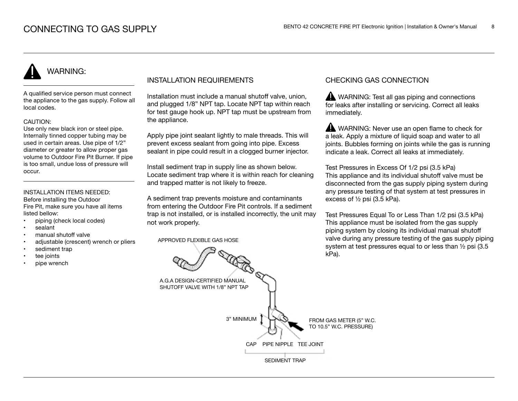A qualified service person must connect the appliance to the gas supply. Follow all local codes.

#### CAUTION:

Use only new black iron or steel pipe. Internally tinned copper tubing may be used in certain areas. Use pipe of 1/2" diameter or greater to allow proper gas volume to Outdoor Fire Pit Burner. If pipe is too small, undue loss of pressure will occur.

### INSTALLATION ITEMS NEEDED:

Before installing the Outdoor Fire Pit, make sure you have all items listed bellow:

- piping (check local codes)
- sealant
- manual shutoff valve
- adjustable (crescent) wrench or pliers
- sediment trap
- tee joints
- pipe wrench

## INSTALLATION REQUIREMENTS

Installation must include a manual shutoff valve, union, and plugged 1/8" NPT tap. Locate NPT tap within reach for test gauge hook up. NPT tap must be upstream from the appliance.

Apply pipe joint sealant lightly to male threads. This will prevent excess sealant from going into pipe. Excess sealant in pipe could result in a clogged burner injector.

Install sediment trap in supply line as shown below. Locate sediment trap where it is within reach for cleaning and trapped matter is not likely to freeze.

A sediment trap prevents moisture and contaminants from entering the Outdoor Fire Pit controls. If a sediment trap is not installed, or is installed incorrectly, the unit may not work properly.

APPROVED FLEXIBLE GAS HOSE

## CHECKING GAS CONNECTION

WARNING: Test all gas piping and connections for leaks after installing or servicing. Correct all leaks immediately.

WARNING: Never use an open flame to check for a leak. Apply a mixture of liquid soap and water to all joints. Bubbles forming on joints while the gas is running indicate a leak. Correct all leaks at immediately.

Test Pressures in Excess Of 1/2 psi (3.5 kPa) This appliance and its individual shutoff valve must be disconnected from the gas supply piping system during any pressure testing of that system at test pressures in excess of ½ psi (3.5 kPa).

Test Pressures Equal To or Less Than 1/2 psi (3.5 kPa) This appliance must be isolated from the gas supply piping system by closing its individual manual shutoff valve during any pressure testing of the gas supply piping system at test pressures equal to or less than ½ psi (3.5 kPa).

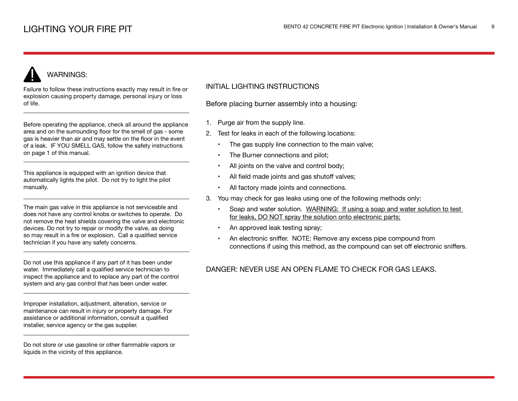Failure to follow these instructions exactly may result in fire or explosion causing property damage, personal injury or loss of life.

Before operating the appliance, check all around the appliance area and on the surrounding floor for the smell of gas - some gas is heavier than air and may settle on the floor in the event of a leak. IF YOU SMELL GAS, follow the safety instructions on page 1 of this manual.

This appliance is equipped with an ignition device that automatically lights the pilot. Do not try to light the pilot manually.

The main gas valve in this appliance is not serviceable and does not have any control knobs or switches to operate. Do not remove the heat shields covering the valve and electronic devices. Do not try to repair or modify the valve, as doing so may result in a fire or explosion. Call a qualified service technician if you have any safety concerns.

Do not use this appliance if any part of it has been under water. Immediately call a qualified service technician to inspect the appliance and to replace any part of the control system and any gas control that has been under water.

Improper installation, adjustment, alteration, service or maintenance can result in injury or property damage. For assistance or additional information, consult a qualified installer, service agency or the gas supplier.

Do not store or use gasoline or other flammable vapors or liquids in the vicinity of this appliance.

## INITIAL LIGHTING INSTRUCTIONS

Before placing burner assembly into a housing:

- 1. Purge air from the supply line.
- 2. Test for leaks in each of the following locations:
	- The gas supply line connection to the main valve;
	- The Burner connections and pilot;
	- All joints on the valve and control body;
	- All field made joints and gas shutoff valves;
	- All factory made joints and connections.
- 3. You may check for gas leaks using one of the following methods only:
	- Soap and water solution. WARNING: If using a soap and water solution to test for leaks, DO NOT spray the solution onto electronic parts;
	- An approved leak testing spray;
	- An electronic sniffer. NOTE: Remove any excess pipe compound from connections if using this method, as the compound can set off electronic sniffers.

# DANGER: NEVER USE AN OPEN FLAME TO CHECK FOR GAS LEAKS.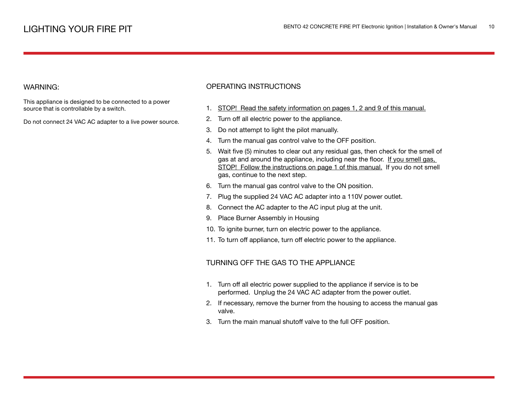This appliance is designed to be connected to a power source that is controllable by a switch.

Do not connect 24 VAC AC adapter to a live power source.

## OPERATING INSTRUCTIONS

- 1. STOP! Read the safety information on pages 1, 2 and 9 of this manual.
- 2. Turn off all electric power to the appliance.
- 3. Do not attempt to light the pilot manually.
- 4. Turn the manual gas control valve to the OFF position.
- 5. Wait five (5) minutes to clear out any residual gas, then check for the smell of gas at and around the appliance, including near the floor. If you smell gas, STOP! Follow the instructions on page 1 of this manual. If you do not smell gas, continue to the next step.
- 6. Turn the manual gas control valve to the ON position.
- 7. Plug the supplied 24 VAC AC adapter into a 110V power outlet.
- 8. Connect the AC adapter to the AC input plug at the unit.
- 9. Place Burner Assembly in Housing
- 10. To ignite burner, turn on electric power to the appliance.
- 11. To turn off appliance, turn off electric power to the appliance.

### TURNING OFF THE GAS TO THE APPLIANCE

- 1. Turn off all electric power supplied to the appliance if service is to be performed. Unplug the 24 VAC AC adapter from the power outlet.
- 2. If necessary, remove the burner from the housing to access the manual gas valve.
- 3. Turn the main manual shutoff valve to the full OFF position.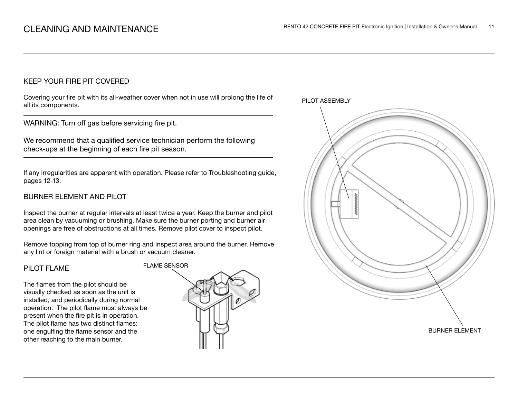## KEEP YOUR FIRE PIT COVERED

Covering your fire pit with its all-weather cover when not in use will prolong the life of all its components.

WARNING: Turn off gas before servicing fire pit.

We recommend that a qualified service technician perform the following check-ups at the beginning of each fire pit season.

If any irregularities are apparent with operation. Please refer to Troubleshooting guide, pages 12-13.

# BURNER ELEMENT AND PILOT

Inspect the burner at regular intervals at least twice a year. Keep the burner and pilot area clean by vacuuming or brushing. Make sure the burner porting and burner air openings are free of obstructions at all times. Remove pilot cover to inspect pilot.

Remove topping from top of burner ring and Inspect area around the burner. Remove any lint or foreign material with a brush or vacuum cleaner.

#### PILOT FLAME

The flames from the pilot should be visually checked as soon as the unit is installed, and periodically during normal operation. The pilot flame must always be present when the fire pit is in operation. The pilot flame has two distinct flames: one engulfing the flame sensor and the other reaching to the main burner.



PILOT ASSEMBLY

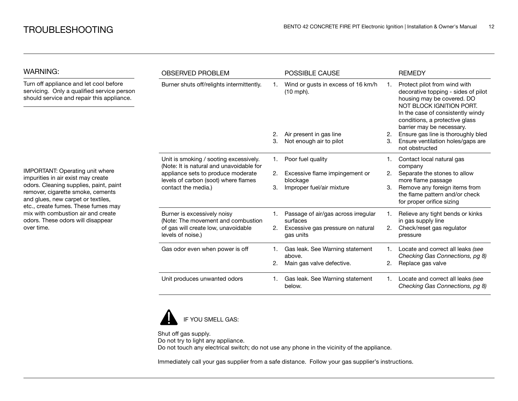| <b>WARNING:</b>                                                                                                                                                                                                                                                                                                            | <b>OBSERVED PROBLEM</b>                                                                           |    | <b>POSSIBLE CAUSE</b>                             |    | <b>REMEDY</b>                                                                                                                                                                                                                     |
|----------------------------------------------------------------------------------------------------------------------------------------------------------------------------------------------------------------------------------------------------------------------------------------------------------------------------|---------------------------------------------------------------------------------------------------|----|---------------------------------------------------|----|-----------------------------------------------------------------------------------------------------------------------------------------------------------------------------------------------------------------------------------|
| Turn off appliance and let cool before<br>servicing. Only a qualified service person<br>should service and repair this appliance.                                                                                                                                                                                          | Burner shuts off/relights intermittently.                                                         |    | Wind or gusts in excess of 16 km/h<br>$(10$ mph). | 1. | Protect pilot from wind with<br>decorative topping - sides of pilot<br>housing may be covered. DO<br>NOT BLOCK IGNITION PORT.<br>In the case of consistently windy<br>conditions, a protective glass<br>barrier may be necessary. |
|                                                                                                                                                                                                                                                                                                                            |                                                                                                   | 2. | Air present in gas line                           | 2. | Ensure gas line is thoroughly bled                                                                                                                                                                                                |
|                                                                                                                                                                                                                                                                                                                            |                                                                                                   | 3. | Not enough air to pilot                           | 3. | Ensure ventilation holes/gaps are<br>not obstructed                                                                                                                                                                               |
| IMPORTANT: Operating unit where<br>impurities in air exist may create<br>odors. Cleaning supplies, paint, paint<br>remover, cigarette smoke, cements<br>and glues, new carpet or textiles,<br>etc., create fumes. These fumes may<br>mix with combustion air and create<br>odors. These odors will disappear<br>over time. | Unit is smoking / sooting excessively.<br>(Note: It is natural and unavoidable for                | 1. | Poor fuel quality                                 |    | Contact local natural gas<br>company                                                                                                                                                                                              |
|                                                                                                                                                                                                                                                                                                                            | appliance sets to produce moderate<br>levels of carbon (soot) where flames<br>contact the media.) | 2. | Excessive flame impingement or<br>blockage        | 2. | Separate the stones to allow<br>more flame passage                                                                                                                                                                                |
|                                                                                                                                                                                                                                                                                                                            |                                                                                                   | З. | Improper fuel/air mixture                         | 3. | Remove any foreign items from<br>the flame pattern and/or check<br>for proper orifice sizing                                                                                                                                      |
|                                                                                                                                                                                                                                                                                                                            | Burner is excessively noisy<br>(Note: The movement and combustion                                 | 1. | Passage of air/gas across irregular<br>surfaces   |    | Relieve any tight bends or kinks<br>in gas supply line                                                                                                                                                                            |
|                                                                                                                                                                                                                                                                                                                            | of gas will create low, unavoidable<br>levels of noise.)                                          | 2. | Excessive gas pressure on natural<br>gas units    | 2. | Check/reset gas regulator<br>pressure                                                                                                                                                                                             |
|                                                                                                                                                                                                                                                                                                                            | Gas odor even when power is off                                                                   |    | Gas leak. See Warning statement<br>above.         |    | Locate and correct all leaks (see<br>Checking Gas Connections, pg 8)                                                                                                                                                              |
|                                                                                                                                                                                                                                                                                                                            |                                                                                                   | 2. | Main gas valve defective.                         | 2. | Replace gas valve                                                                                                                                                                                                                 |
|                                                                                                                                                                                                                                                                                                                            | Unit produces unwanted odors                                                                      |    | Gas leak. See Warning statement<br>below.         |    | Locate and correct all leaks (see<br>Checking Gas Connections, pg 8)                                                                                                                                                              |



Shut off gas supply. Do not try to light any appliance. Do not touch any electrical switch; do not use any phone in the vicinity of the appliance.

Immediately call your gas supplier from a safe distance. Follow your gas supplier's instructions.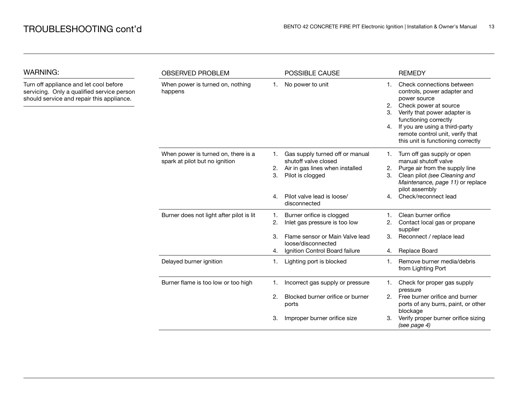| <b>WARNING:</b>                                                                                                                   | <b>OBSERVED PROBLEM</b>                                               |                | POSSIBLE CAUSE                                                                                                 |                      | <b>REMEDY</b>                                                                                                                                                                                                                                                          |
|-----------------------------------------------------------------------------------------------------------------------------------|-----------------------------------------------------------------------|----------------|----------------------------------------------------------------------------------------------------------------|----------------------|------------------------------------------------------------------------------------------------------------------------------------------------------------------------------------------------------------------------------------------------------------------------|
| Turn off appliance and let cool before<br>servicing. Only a qualified service person<br>should service and repair this appliance. | When power is turned on, nothing<br>happens                           | 1.             | No power to unit                                                                                               | 1.<br>2.<br>3.<br>4. | Check connections between<br>controls, power adapter and<br>power source<br>Check power at source<br>Verify that power adapter is<br>functioning correctly<br>If you are using a third-party<br>remote control unit, verify that<br>this unit is functioning correctly |
|                                                                                                                                   | When power is turned on, there is a<br>spark at pilot but no ignition | 1.<br>2.<br>3. | Gas supply turned off or manual<br>shutoff valve closed<br>Air in gas lines when installed<br>Pilot is clogged | 1.<br>2.<br>З.       | Turn off gas supply or open<br>manual shutoff valve<br>Purge air from the supply line<br>Clean pilot (see Cleaning and<br>Maintenance, page 11) or replace<br>pilot assembly                                                                                           |
|                                                                                                                                   |                                                                       | 4.             | Pilot valve lead is loose/<br>disconnected                                                                     | 4.                   | Check/reconnect lead                                                                                                                                                                                                                                                   |
|                                                                                                                                   | Burner does not light after pilot is lit                              | 1.<br>2.       | Burner orifice is clogged<br>Inlet gas pressure is too low                                                     | 2.                   | Clean burner orifice<br>Contact local gas or propane<br>supplier                                                                                                                                                                                                       |
|                                                                                                                                   |                                                                       | З.<br>4.       | Flame sensor or Main Valve lead<br>loose/disconnected<br>Ignition Control Board failure                        | 3.<br>4.             | Reconnect / replace lead<br>Replace Board                                                                                                                                                                                                                              |
|                                                                                                                                   | Delayed burner ignition                                               | 1.             | Lighting port is blocked                                                                                       | 1.                   | Remove burner media/debris<br>from Lighting Port                                                                                                                                                                                                                       |
|                                                                                                                                   | Burner flame is too low or too high                                   | 1.             | Incorrect gas supply or pressure                                                                               | 1.                   | Check for proper gas supply<br>pressure                                                                                                                                                                                                                                |
|                                                                                                                                   |                                                                       | 2.             | Blocked burner orifice or burner<br>ports                                                                      | 2.                   | Free burner orifice and burner<br>ports of any burrs, paint, or other<br>blockage                                                                                                                                                                                      |
|                                                                                                                                   |                                                                       | З.             | Improper burner orifice size                                                                                   | З.                   | Verify proper burner orifice sizing<br>(see page 4)                                                                                                                                                                                                                    |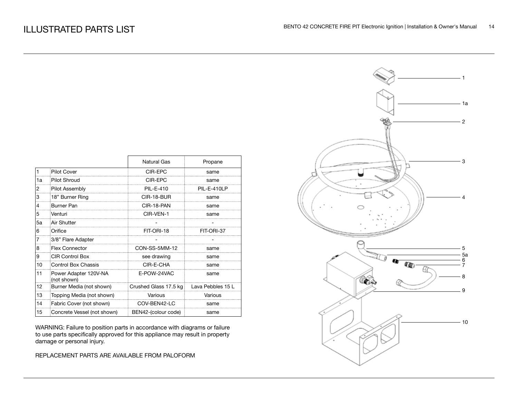|    |                                      | <b>Natural Gas</b>    | Propane           |
|----|--------------------------------------|-----------------------|-------------------|
| 1  | <b>Pilot Cover</b>                   | CIR-EPC               | same              |
| 1a | <b>Pilot Shroud</b>                  | CIR-EPC               | same              |
| 2  | Pilot Assembly                       | <b>PIL-E-410</b>      | PIL-E-410LP       |
| 3  | 18" Burner Ring                      | CIR-18-BUR            | same              |
| 4  | <b>Burner Pan</b>                    | CIR-18-PAN            | same              |
| 5  | Venturi                              | CIR-VEN-1             | same              |
| 5a | Air Shutter                          |                       |                   |
| 6  | Orifice                              | FIT-ORI-18            | FIT-ORI-37        |
|    | 3/8" Flare Adapter                   |                       |                   |
| 8  | <b>Flex Connector</b>                | CON-SS-5MM-12         | same              |
| 9  | <b>CIR Control Box</b>               | see drawing           | same              |
| 10 | <b>Control Box Chassis</b>           | CIR-E-CHA             | same              |
| 11 | Power Adapter 120V-NA<br>(not shown) | E-POW-24VAC           | same              |
| 12 | Burner Media (not shown)             | Crushed Glass 17.5 kg | Lava Pebbles 15 L |
| 13 | Topping Media (not shown)            | Various               | Various           |
| 14 | Fabric Cover (not shown)             | COV-BEN42-LC          | same              |
| 15 | Concrete Vessel (not shown)          | BEN42-(colour code)   | same              |

WARNING: Failure to position parts in accordance with diagrams or failure to use parts specifically approved for this appliance may result in property damage or personal injury.

REPLACEMENT PARTS ARE AVAILABLE FROM PALOFORM

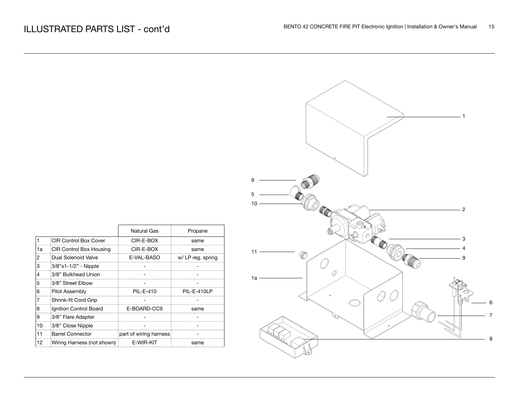|    |                              | <b>Natural Gas</b>     | Propane           |
|----|------------------------------|------------------------|-------------------|
|    | <b>CIR Control Box Cover</b> | CIR-E-BOX              | same              |
| 1a | CIR Control Box Housing      | CIR-E-BOX              | same              |
| 2  | Dual Solenoid Valve          | E-VAL-BASO             | w/ LP reg. spring |
| 3  | 3/8"x1-1/2" - Nipple         |                        |                   |
|    | 3/8" Bulkhead Union          |                        |                   |
| 5  | 3/8" Street Elbow            |                        |                   |
| 6  | <b>Pilot Assembly</b>        | PII -F-410             | PIL-F-410LP       |
| 7  | Shrink-fit Cord Grip         |                        |                   |
| 8  | Ignition Control Board       | E-BOARD-CC9            | same              |
| 9  | 3/8" Flare Adapter           |                        |                   |
| 10 | 3/8" Close Nipple            |                        |                   |
| 11 | <b>Barrel Connector</b>      | part of wiring harness |                   |
| 12 | Wiring Harness (not shown)   | E-WIR-KIT              | same              |
|    |                              |                        |                   |

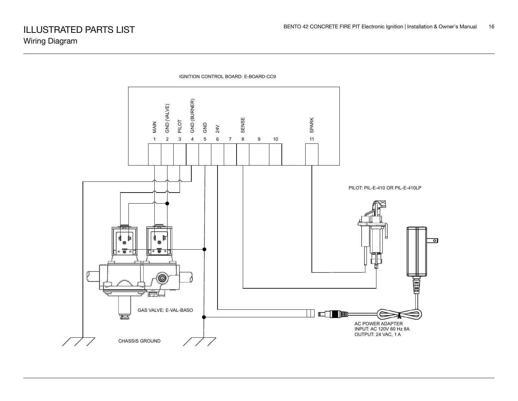